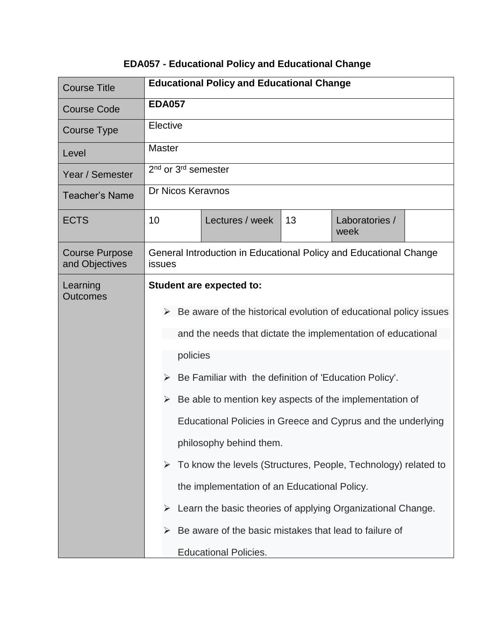## **EDA057 - Educational Policy and Educational Change**

| <b>Course Title</b>                                          | <b>Educational Policy and Educational Change</b>                            |  |  |  |  |
|--------------------------------------------------------------|-----------------------------------------------------------------------------|--|--|--|--|
| <b>Course Code</b>                                           | <b>EDA057</b>                                                               |  |  |  |  |
| Course Type                                                  | Elective                                                                    |  |  |  |  |
| Level                                                        | <b>Master</b>                                                               |  |  |  |  |
| Year / Semester                                              | 2 <sup>nd</sup> or 3 <sup>rd</sup> semester                                 |  |  |  |  |
| <b>Teacher's Name</b>                                        | Dr Nicos Keraynos                                                           |  |  |  |  |
| <b>ECTS</b>                                                  | 10<br>Lectures / week<br>13<br>Laboratories /<br>week                       |  |  |  |  |
| <b>Course Purpose</b><br>and Objectives                      | General Introduction in Educational Policy and Educational Change<br>issues |  |  |  |  |
| Learning<br><b>Outcomes</b>                                  | <b>Student are expected to:</b>                                             |  |  |  |  |
|                                                              | Be aware of the historical evolution of educational policy issues           |  |  |  |  |
|                                                              | and the needs that dictate the implementation of educational                |  |  |  |  |
|                                                              | policies                                                                    |  |  |  |  |
|                                                              |                                                                             |  |  |  |  |
|                                                              | Be Familiar with the definition of 'Education Policy'.<br>➤                 |  |  |  |  |
| Be able to mention key aspects of the implementation of<br>➤ |                                                                             |  |  |  |  |
|                                                              | Educational Policies in Greece and Cyprus and the underlying                |  |  |  |  |
|                                                              | philosophy behind them.                                                     |  |  |  |  |
|                                                              | To know the levels (Structures, People, Technology) related to<br>➤         |  |  |  |  |
|                                                              | the implementation of an Educational Policy.                                |  |  |  |  |
|                                                              | Learn the basic theories of applying Organizational Change.<br>➤            |  |  |  |  |
|                                                              | Be aware of the basic mistakes that lead to failure of                      |  |  |  |  |
|                                                              | <b>Educational Policies.</b>                                                |  |  |  |  |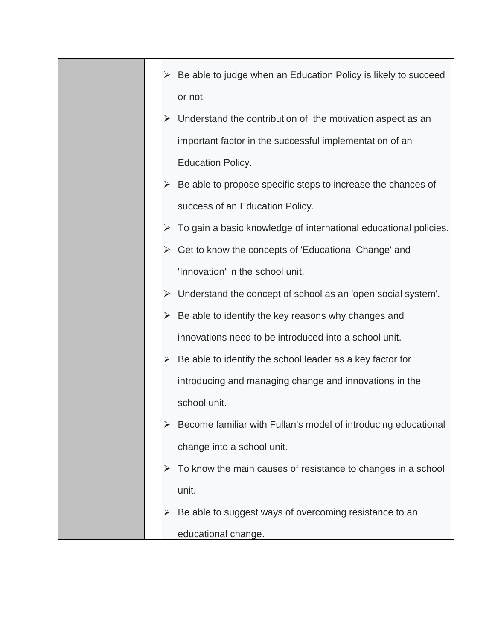- $\triangleright$  Be able to judge when an Education Policy is likely to succeed or not.
- ➢ Understand the contribution of the motivation aspect as an important factor in the successful implementation of an Education Policy.
- $\triangleright$  Be able to propose specific steps to increase the chances of success of an Education Policy.
- $\triangleright$  To gain a basic knowledge of international educational policies.
- ➢ Get to know the concepts of 'Educational Change' and 'Innovation' in the school unit.
- ➢ Understand the concept of school as an 'open social system'.
- $\triangleright$  Be able to identify the key reasons why changes and innovations need to be introduced into a school unit.
- $\triangleright$  Be able to identify the school leader as a key factor for introducing and managing change and innovations in the school unit.
- ➢ Become familiar with Fullan's model of introducing educational change into a school unit.
- $\triangleright$  To know the main causes of resistance to changes in a school unit.
- ➢ Be able to suggest ways of overcoming resistance to an educational change.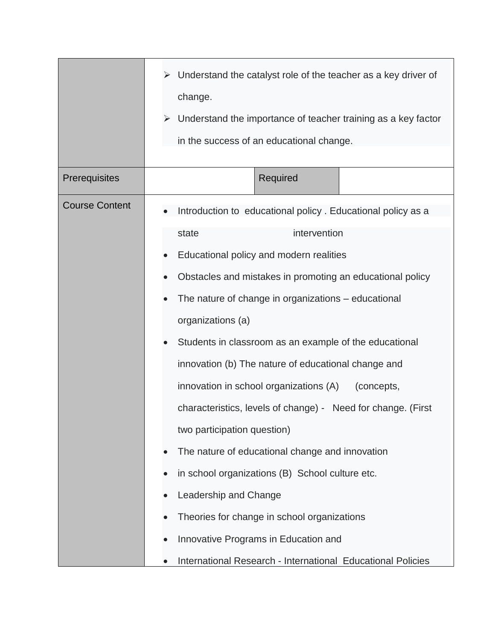|                       | Understand the catalyst role of the teacher as a key driver of<br>➤<br>change.<br>Understand the importance of teacher training as a key factor<br>➤<br>in the success of an educational change.                                                                                                                                                                                                                                                                                                                                                                                                                                                                                                                                                                                                                                       |  |
|-----------------------|----------------------------------------------------------------------------------------------------------------------------------------------------------------------------------------------------------------------------------------------------------------------------------------------------------------------------------------------------------------------------------------------------------------------------------------------------------------------------------------------------------------------------------------------------------------------------------------------------------------------------------------------------------------------------------------------------------------------------------------------------------------------------------------------------------------------------------------|--|
| Prerequisites         | Required                                                                                                                                                                                                                                                                                                                                                                                                                                                                                                                                                                                                                                                                                                                                                                                                                               |  |
| <b>Course Content</b> | Introduction to educational policy . Educational policy as a<br>intervention<br>state<br>Educational policy and modern realities<br>Obstacles and mistakes in promoting an educational policy<br>The nature of change in organizations – educational<br>organizations (a)<br>Students in classroom as an example of the educational<br>innovation (b) The nature of educational change and<br>innovation in school organizations (A)<br>(concepts,<br>characteristics, levels of change) - Need for change. (First<br>two participation question)<br>The nature of educational change and innovation<br>in school organizations (B) School culture etc.<br>Leadership and Change<br>Theories for change in school organizations<br>Innovative Programs in Education and<br>International Research - International Educational Policies |  |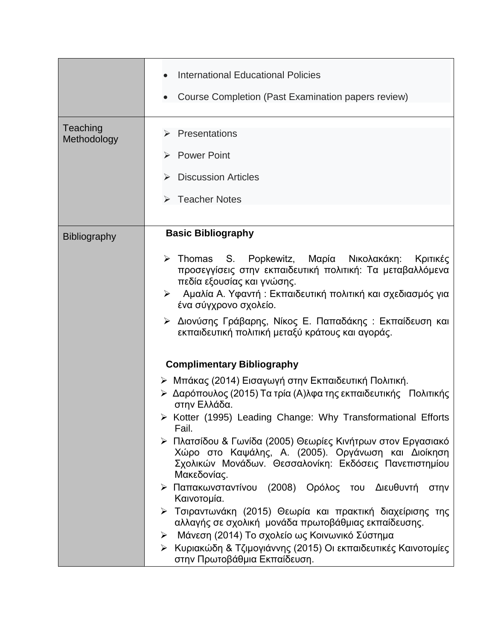|                         | <b>International Educational Policies</b><br>Course Completion (Past Examination papers review)                                                                                                                                                                                                                                                                                                                                                                                                                                                                                                                                                                                                                                                                                                        |  |
|-------------------------|--------------------------------------------------------------------------------------------------------------------------------------------------------------------------------------------------------------------------------------------------------------------------------------------------------------------------------------------------------------------------------------------------------------------------------------------------------------------------------------------------------------------------------------------------------------------------------------------------------------------------------------------------------------------------------------------------------------------------------------------------------------------------------------------------------|--|
| Teaching<br>Methodology | Presentations<br><b>Power Point</b><br><b>Discussion Articles</b><br>> Teacher Notes                                                                                                                                                                                                                                                                                                                                                                                                                                                                                                                                                                                                                                                                                                                   |  |
| <b>Bibliography</b>     | <b>Basic Bibliography</b><br>> Thomas S. Popkewitz, Μαρία Νικολακάκη: Κριτικές<br>προσεγγίσεις στην εκπαιδευτική πολιτική: Τα μεταβαλλόμενα<br>πεδία εξουσίας και γνώσης.<br>Αμαλία Α. Υφαντή: Εκπαιδευτική πολιτική και σχεδιασμός για<br>$\blacktriangleright$<br>ένα σύγχρονο σχολείο.<br>> Διονύσης Γράβαρης, Νίκος Ε. Παπαδάκης : Εκπαίδευση και<br>εκπαιδευτική πολιτική μεταξύ κράτους και αγοράς.                                                                                                                                                                                                                                                                                                                                                                                              |  |
|                         | <b>Complimentary Bibliography</b><br>≻ Μπάκας (2014) Εισαγωγή στην Εκπαιδευτική Πολιτική.<br>≻ Δαρόπουλος (2015) Τα τρία (Α)λφα της εκπαιδευτικής Πολιτικής<br>στην Ελλάδα.<br>> Kotter (1995) Leading Change: Why Transformational Efforts<br>Fail.<br>> Πλατσίδου & Γωνίδα (2005) Θεωρίες Κινήτρων στον Εργασιακό<br>Χώρο στο Καψάλης, Α. (2005). Οργάνωση και Διοίκηση<br>Σχολικών Μονάδων. Θεσσαλονίκη: Εκδόσεις Πανεπιστημίου<br>Μακεδονίας.<br>> Παπακωνσταντίνου (2008) Ορόλος του Διευθυντή<br>στην<br>Καινοτομία.<br>≻ Τσιραντωνάκη (2015) Θεωρία και πρακτική διαχείρισης της<br>αλλαγής σε σχολική μονάδα πρωτοβάθμιας εκπαίδευσης.<br>Μάνεση (2014) Το σχολείο ως Κοινωνικό Σύστημα<br>➤<br>≻ Κυριακώδη & Τζιμογιάννης (2015) Οι εκπαιδευτικές Καινοτομίες<br>στην Πρωτοβάθμια Εκπαίδευση. |  |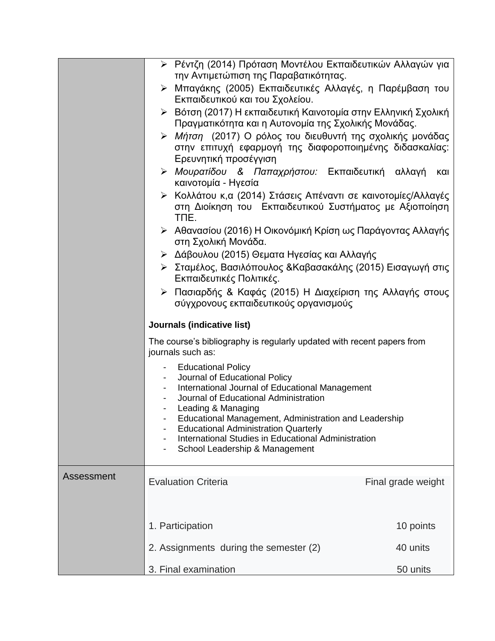|            | > Ρέντζη (2014) Πρόταση Μοντέλου Εκπαιδευτικών Αλλαγών για<br>την Αντιμετώπιση της Παραβατικότητας.                                                                                                                    |                    |  |  |  |
|------------|------------------------------------------------------------------------------------------------------------------------------------------------------------------------------------------------------------------------|--------------------|--|--|--|
|            | > Μπαγάκης (2005) Εκπαιδευτικές Αλλαγές, η Παρέμβαση του<br>Εκπαιδευτικού και του Σχολείου.                                                                                                                            |                    |  |  |  |
|            | ► Βότση (2017) Η εκπαιδευτική Καινοτομία στην Ελληνική Σχολική<br>Πραγματικότητα και η Αυτονομία της Σχολικής Μονάδας.                                                                                                 |                    |  |  |  |
|            | > Μήτση (2017) Ο ρόλος του διευθυντή της σχολικής μονάδας<br>στην επιτυχή εφαρμογή της διαφοροποιημένης διδασκαλίας:<br>Ερευνητική προσέγγιση                                                                          |                    |  |  |  |
|            | > Μουρατίδου & Παπαχρήστου: Εκπαιδευτική αλλαγή<br>καινοτομία - Ηγεσία                                                                                                                                                 | και                |  |  |  |
|            | > Κολλάτου κ,α (2014) Στάσεις Απέναντι σε καινοτομίες/Αλλαγές<br>στη Διοίκηση του Εκπαιδευτικού Συστήματος με Αξιοποίηση<br>TNE.                                                                                       |                    |  |  |  |
|            | ≻ Αθανασίου (2016) Η Οικονόμική Κρίση ως Παράγοντας Αλλαγής<br>στη Σχολική Μονάδα.                                                                                                                                     |                    |  |  |  |
|            | > Δάβουλου (2015) Θεματα Ηγεσίας και Αλλαγής                                                                                                                                                                           |                    |  |  |  |
|            | > Σταμέλος, Βασιλόπουλος &Καβασακάλης (2015) Εισαγωγή στις<br>Εκπαιδευτικές Πολιτικές.                                                                                                                                 |                    |  |  |  |
|            | > Πασιαρδής & Καφάς (2015) Η Διαχείριση της Αλλαγής στους<br>σύγχρονους εκπαιδευτικούς οργανισμούς                                                                                                                     |                    |  |  |  |
|            | Journals (indicative list)<br>The course's bibliography is regularly updated with recent papers from<br>journals such as:                                                                                              |                    |  |  |  |
|            |                                                                                                                                                                                                                        |                    |  |  |  |
|            | <b>Educational Policy</b><br>Journal of Educational Policy                                                                                                                                                             |                    |  |  |  |
|            | International Journal of Educational Management<br>Journal of Educational Administration<br>Leading & Managing<br>Educational Management, Administration and Leadership<br><b>Educational Administration Quarterly</b> |                    |  |  |  |
|            |                                                                                                                                                                                                                        |                    |  |  |  |
|            |                                                                                                                                                                                                                        |                    |  |  |  |
|            | International Studies in Educational Administration<br>School Leadership & Management                                                                                                                                  |                    |  |  |  |
| Assessment | <b>Evaluation Criteria</b>                                                                                                                                                                                             | Final grade weight |  |  |  |
|            |                                                                                                                                                                                                                        |                    |  |  |  |
|            | 1. Participation                                                                                                                                                                                                       | 10 points          |  |  |  |
|            | 2. Assignments during the semester (2)                                                                                                                                                                                 | 40 units           |  |  |  |
|            |                                                                                                                                                                                                                        |                    |  |  |  |